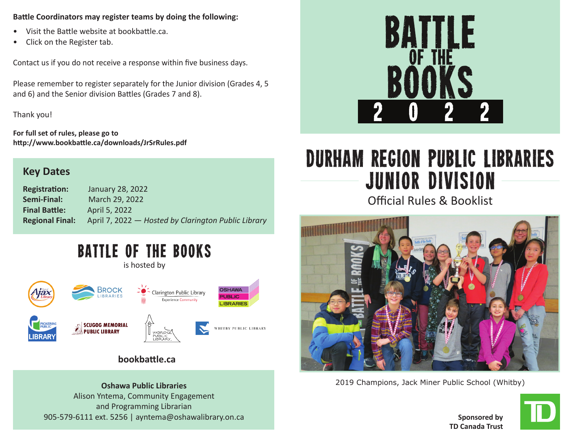## **Battle Coordinators may register teams by doing the following:**

- Visit the Battle website at bookbattle.ca.
- Click on the Register tab.

Contact us if you do not receive a response within five business days.

Please remember to register separately for the Junior division (Grades 4, 5 and 6) and the Senior division Battles (Grades 7 and 8).

Thank you!

**For full set of rules, please go to http://www.bookbattle.ca/downloads/JrSrRules.pdf** 

# **Key Dates**

**Registration:** January 28, 2022 **Semi-Final:** March 29, 2022 **Final Battle:** April 5, 2022 **Regional Final:** April 7, 2022 — *Hosted by Clarington Public Library*

# BATTLE OF THE BOOKS

is hosted by



# **bookbattle.ca**

Alison Yntema, Community Engagement and Programming Librarian 905-579-6111 ext. 5256 | ayntema@oshawalibrary.on.ca



# Durham Region Public Libraries Junior Division

Official Rules & Booklist



2019 Champions, Jack Miner Public School (Whitby) **Oshawa Public Libraries**